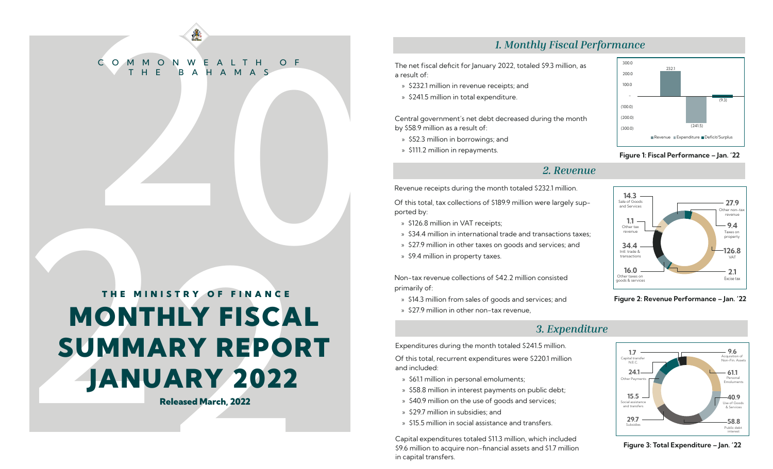# COMMONWEALTH OF C O M M O N W E A L T H O F BAHAMAS

## **9.6** 2002<br> **9.6** 2003<br> **9.6** 2003<br> **9.9** 2003<br> **9.6** 2003<br> **9.6** 2003<br> **9.6** 2003<br> **9.6** 2003<br> **9.6** 2003<br> **9.6** 2003<br> **9.6** 2003<br> **9.6** 2003<br> **9.6** 2003<br> **9.6** 2003<br> **9.6** 2003<br> **9.6** 2003<br> **9.6** 2003<br> **9.6** 2003<br> **9.6** MONTHLY FISCAL SUMMARY REPORT JANUARY 2022 THE MINISTRY OF FINANCE

Released March, 2022

### *1. Monthly Fiscal Performance*

The net fiscal deficit for January 2022, totaled \$9.3 million, as a result of:

- » \$232.1 million in revenue receipts; and
- » \$241.5 million in total expenditure.

Central government's net debt decreased during the month by \$58.9 million as a result of:

- » \$52.3 million in borrowings; and
- » \$111.2 million in repayments.

### *2. Revenue*

Revenue receipts during the month totaled \$232.1 million.

Of this total, tax collections of \$189.9 million were largely supported by:

- » \$126.8 million in VAT receipts;
- » \$34.4 million in international trade and transactions taxes;
- » \$27.9 million in other taxes on goods and services; and
- » \$9.4 million in property taxes.

Non-tax revenue collections of \$42.2 million consisted primarily of:

- » \$14.3 million from sales of goods and services; and
- » \$27.9 million in other non-tax revenue,
	-

Expenditures during the month totaled \$241.5 million.

Of this total, recurrent expenditures were \$220.1 million and included:

- » \$61.1 million in personal emoluments;
- » \$58.8 million in interest payments on public debt;
- » \$40.9 million on the use of goods and services;
- » \$29.7 million in subsidies; and
- » \$15.5 million in social assistance and transfers.

Capital expenditures totaled \$11.3 million, which included \$9.6 million to acquire non-financial assets and \$1.7 million in capital transfers.



### Figure 1: Fiscal Performance – Jan. '22







Figure 3: Total Expenditure – Jan. '22